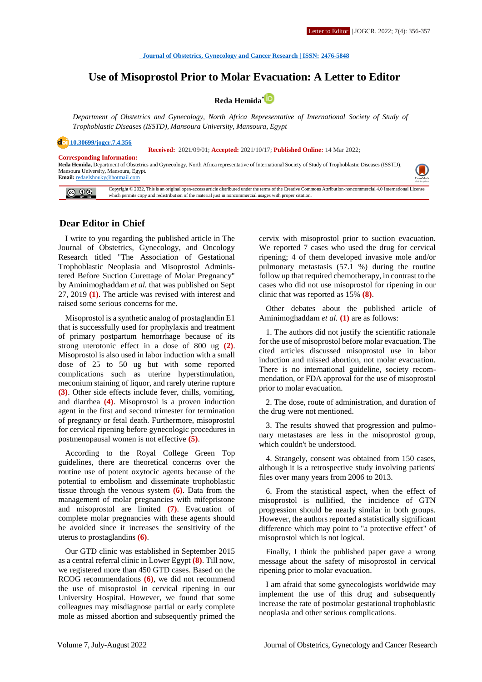# **Use of Misoprostol Prior to Molar Evacuation: A Letter to Editor**



*Department of Obstetrics and Gynecology, North Africa Representative of International Society of Study of Trophoblastic Diseases (ISSTD), Mansoura University, Mansoura, Egypt*

**[10.30699/jogcr.7.4.356](http://dx.doi.org/10.30699/jogcr.7.4.356)**

 **Received:** 2021/09/01; **Accepted:** 2021/10/17; **Published Online:** 14 Mar 2022;

**Corresponding Information:**

**Reda Hemida,** Department of Obstetrics and Gynecology, North Africa representative of International Society of Study of Trophoblastic Diseases (ISSTD), Mansoura University, Mansoura, Egypt. **Email:** [redaelshouky@hotmail.com](mailto:redaelshouky@hotmail.com) 



### **Dear Editor in Chief**

I write to you regarding the published article in The Journal of Obstetrics, Gynecology, and Oncology Research titled "The Association of Gestational Trophoblastic Neoplasia and Misoprostol Administered Before Suction Curettage of Molar Pregnancy" by Aminimoghaddam *et al.* that was published on Sept 27, 2019 **(1)**. The article was revised with interest and raised some serious concerns for me.

Misoprostol is a synthetic analog of prostaglandin E1 that is successfully used for prophylaxis and treatment of primary postpartum hemorrhage because of its strong uterotonic effect in a dose of 800 ug **(2)**. Misoprostol is also used in labor induction with a small dose of 25 to 50 ug but with some reported complications such as uterine hyperstimulation, meconium staining of liquor, and rarely uterine rupture **(3)**. Other side effects include fever, chills, vomiting, and diarrhea **(4)**. Misoprostol is a proven induction agent in the first and second trimester for termination of pregnancy or fetal death. Furthermore, misoprostol for cervical ripening before gynecologic procedures in postmenopausal women is not effective **(5)**.

According to the Royal College Green Top guidelines, there are theoretical concerns over the routine use of potent oxytocic agents because of the potential to embolism and disseminate trophoblastic tissue through the venous system **(6)**. Data from the management of molar pregnancies with mifepristone and misoprostol are limited **(7)**. Evacuation of complete molar pregnancies with these agents should be avoided since it increases the sensitivity of the uterus to prostaglandins **(6)**.

Our GTD clinic was established in September 2015 as a central referral clinic in Lower Egypt **(8)**. Till now, we registered more than 450 GTD cases. Based on the RCOG recommendations **(6)**, we did not recommend the use of misoprostol in cervical ripening in our University Hospital. However, we found that some colleagues may misdiagnose partial or early complete mole as missed abortion and subsequently primed the cervix with misoprostol prior to suction evacuation. We reported 7 cases who used the drug for cervical ripening; 4 of them developed invasive mole and/or pulmonary metastasis (57.1 %) during the routine follow up that required chemotherapy, in contrast to the cases who did not use misoprostol for ripening in our clinic that was reported as 15% **(8)**.

Other debates about the published article of Aminimoghaddam *et al.* **(1)** are as follows:

1. The authors did not justify the scientific rationale for the use of misoprostol before molar evacuation. The cited articles discussed misoprostol use in labor induction and missed abortion, not molar evacuation. There is no international guideline, society recommendation, or FDA approval for the use of misoprostol prior to molar evacuation.

2. The dose, route of administration, and duration of the drug were not mentioned.

3. The results showed that progression and pulmonary metastases are less in the misoprostol group, which couldn't be understood.

4. Strangely, consent was obtained from 150 cases, although it is a retrospective study involving patients' files over many years from 2006 to 2013.

6. From the statistical aspect, when the effect of misoprostol is nullified, the incidence of GTN progression should be nearly similar in both groups. However, the authors reported a statistically significant difference which may point to "a protective effect" of misoprostol which is not logical.

Finally, I think the published paper gave a wrong message about the safety of misoprostol in cervical ripening prior to molar evacuation.

I am afraid that some gynecologists worldwide may implement the use of this drug and subsequently increase the rate of postmolar gestational trophoblastic neoplasia and other serious complications.